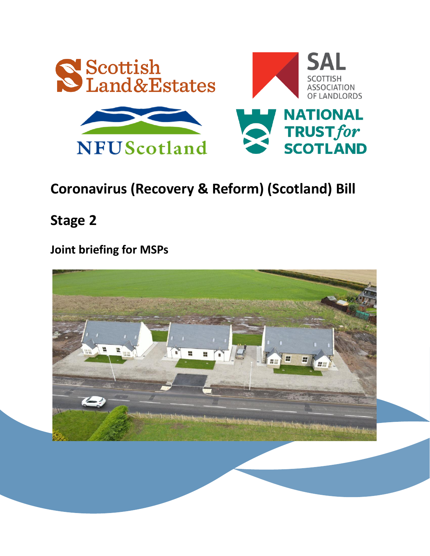

# **Coronavirus (Recovery & Reform) (Scotland) Bill**

**Stage 2**

## **Joint briefing for MSPs**

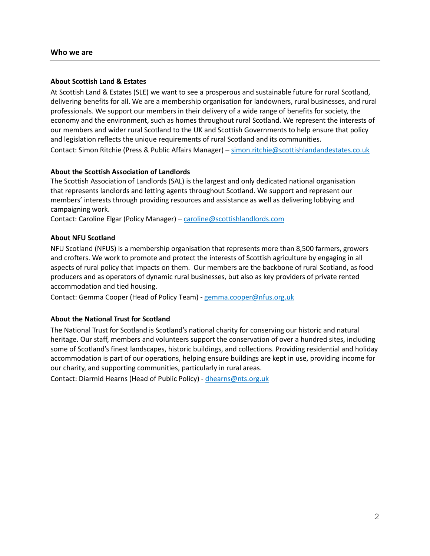#### **About Scottish Land & Estates**

At Scottish Land & Estates (SLE) we want to see a prosperous and sustainable future for rural Scotland, delivering benefits for all. We are a membership organisation for landowners, rural businesses, and rural professionals. We support our members in their delivery of a wide range of benefits for society, the economy and the environment, such as homes throughout rural Scotland. We represent the interests of our members and wider rural Scotland to the UK and Scottish Governments to help ensure that policy and legislation reflects the unique requirements of rural Scotland and its communities.

Contact: Simon Ritchie (Press & Public Affairs Manager) – [simon.ritchie@scottishlandandestates.co.uk](mailto:simon.ritchie@scottishlandandestates.co.uk)

### **About the Scottish Association of Landlords**

The Scottish Association of Landlords (SAL) is the largest and only dedicated national organisation that represents landlords and letting agents throughout Scotland. We support and represent our members' interests through providing resources and assistance as well as delivering lobbying and campaigning work.

Contact: Caroline Elgar (Policy Manager) - [caroline@scottishlandlords.com](mailto:caroline@scottishlandlords.com)

### **About NFU Scotland**

NFU Scotland (NFUS) is a membership organisation that represents more than 8,500 farmers, growers and crofters. We work to promote and protect the interests of Scottish agriculture by engaging in all aspects of rural policy that impacts on them. Our members are the backbone of rural Scotland, as food producers and as operators of dynamic rural businesses, but also as key providers of private rented accommodation and tied housing.

Contact: Gemma Cooper (Head of Policy Team) - [gemma.cooper@nfus.org.uk](mailto:gemma.cooper@nfus.org.uk)

### **About the National Trust for Scotland**

The National Trust for Scotland is Scotland's national charity for conserving our historic and natural heritage. Our staff, members and volunteers support the conservation of over a hundred sites, including some of Scotland's finest landscapes, historic buildings, and collections. Providing residential and holiday accommodation is part of our operations, helping ensure buildings are kept in use, providing income for our charity, and supporting communities, particularly in rural areas.

Contact: Diarmid Hearns (Head of Public Policy) - [dhearns@nts.org.uk](mailto:dhearns@nts.org.uk)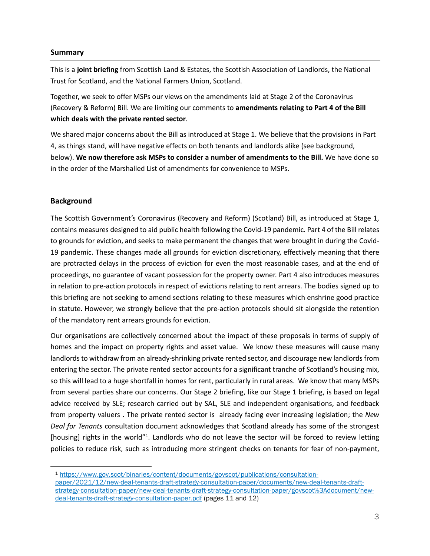### **Summary**

This is a **joint briefing** from Scottish Land & Estates, the Scottish Association of Landlords, the National Trust for Scotland, and the National Farmers Union, Scotland.

Together, we seek to offer MSPs our views on the amendments laid at Stage 2 of the Coronavirus (Recovery & Reform) Bill. We are limiting our comments to **amendments relating to Part 4 of the Bill which deals with the private rented sector**.

We shared major concerns about the Bill as introduced at Stage 1. We believe that the provisions in Part 4, as things stand, will have negative effects on both tenants and landlords alike (see background, below). **We now therefore ask MSPs to consider a number of amendments to the Bill.** We have done so in the order of the Marshalled List of amendments for convenience to MSPs.

### **Background**

The Scottish Government's Coronavirus (Recovery and Reform) (Scotland) Bill, as introduced at Stage 1, contains measures designed to aid public health following the Covid-19 pandemic. Part 4 of the Bill relates to grounds for eviction, and seeks to make permanent the changes that were brought in during the Covid-19 pandemic. These changes made all grounds for eviction discretionary, effectively meaning that there are protracted delays in the process of eviction for even the most reasonable cases, and at the end of proceedings, no guarantee of vacant possession for the property owner. Part 4 also introduces measures in relation to pre-action protocols in respect of evictions relating to rent arrears. The bodies signed up to this briefing are not seeking to amend sections relating to these measures which enshrine good practice in statute. However, we strongly believe that the pre-action protocols should sit alongside the retention of the mandatory rent arrears grounds for eviction.

Our organisations are collectively concerned about the impact of these proposals in terms of supply of homes and the impact on property rights and asset value. We know these measures will cause many landlords to withdraw from an already-shrinking private rented sector, and discourage new landlords from entering the sector. The private rented sector accounts for a significant tranche of Scotland's housing mix, so this will lead to a huge shortfall in homes for rent, particularly in rural areas. We know that many MSPs from several parties share our concerns. Our Stage 2 briefing, like our Stage 1 briefing, is based on legal advice received by SLE; research carried out by SAL, SLE and independent organisations, and feedback from property valuers . The private rented sector is already facing ever increasing legislation; the *New Deal for Tenants* consultation document acknowledges that Scotland already has some of the strongest [housing] rights in the world"<sup>1</sup>. Landlords who do not leave the sector will be forced to review letting policies to reduce risk, such as introducing more stringent checks on tenants for fear of non-payment,

<sup>1</sup> [https://www.gov.scot/binaries/content/documents/govscot/publications/consultation](https://www.gov.scot/binaries/content/documents/govscot/publications/consultation-paper/2021/12/new-deal-tenants-draft-strategy-consultation-paper/documents/new-deal-tenants-draft-strategy-consultation-paper/new-deal-tenants-draft-strategy-consultation-paper/govscot%3Adocument/new-deal-tenants-draft-strategy-consultation-paper.pdf)[paper/2021/12/new-deal-tenants-draft-strategy-consultation-paper/documents/new-deal-tenants-draft](https://www.gov.scot/binaries/content/documents/govscot/publications/consultation-paper/2021/12/new-deal-tenants-draft-strategy-consultation-paper/documents/new-deal-tenants-draft-strategy-consultation-paper/new-deal-tenants-draft-strategy-consultation-paper/govscot%3Adocument/new-deal-tenants-draft-strategy-consultation-paper.pdf)[strategy-consultation-paper/new-deal-tenants-draft-strategy-consultation-paper/govscot%3Adocument/new](https://www.gov.scot/binaries/content/documents/govscot/publications/consultation-paper/2021/12/new-deal-tenants-draft-strategy-consultation-paper/documents/new-deal-tenants-draft-strategy-consultation-paper/new-deal-tenants-draft-strategy-consultation-paper/govscot%3Adocument/new-deal-tenants-draft-strategy-consultation-paper.pdf)[deal-tenants-draft-strategy-consultation-paper.pdf](https://www.gov.scot/binaries/content/documents/govscot/publications/consultation-paper/2021/12/new-deal-tenants-draft-strategy-consultation-paper/documents/new-deal-tenants-draft-strategy-consultation-paper/new-deal-tenants-draft-strategy-consultation-paper/govscot%3Adocument/new-deal-tenants-draft-strategy-consultation-paper.pdf) (pages 11 and 12)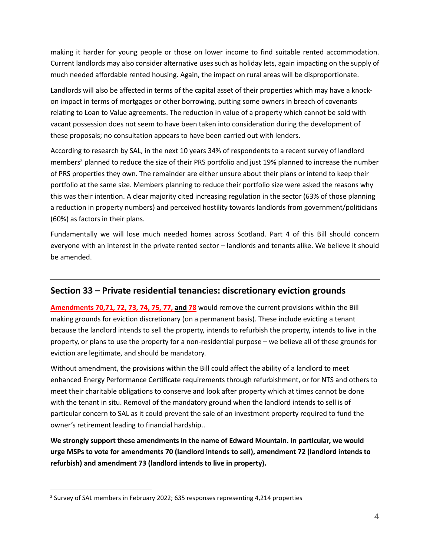making it harder for young people or those on lower income to find suitable rented accommodation. Current landlords may also consider alternative uses such as holiday lets, again impacting on the supply of much needed affordable rented housing. Again, the impact on rural areas will be disproportionate.

Landlords will also be affected in terms of the capital asset of their properties which may have a knockon impact in terms of mortgages or other borrowing, putting some owners in breach of covenants relating to Loan to Value agreements. The reduction in value of a property which cannot be sold with vacant possession does not seem to have been taken into consideration during the development of these proposals; no consultation appears to have been carried out with lenders.

According to research by SAL, in the next 10 years 34% of respondents to a recent survey of landlord members<sup>2</sup> planned to reduce the size of their PRS portfolio and just 19% planned to increase the number of PRS properties they own. The remainder are either unsure about their plans or intend to keep their portfolio at the same size. Members planning to reduce their portfolio size were asked the reasons why this was their intention. A clear majority cited increasing regulation in the sector (63% of those planning a reduction in property numbers) and perceived hostility towards landlords from government/politicians (60%) as factors in their plans.

Fundamentally we will lose much needed homes across Scotland. Part 4 of this Bill should concern everyone with an interest in the private rented sector – landlords and tenants alike. We believe it should be amended.

### **Section 33 – Private residential tenancies: discretionary eviction grounds**

**Amendments 70,71, 72, 73, 74, 75, 77, and 78** would remove the current provisions within the Bill making grounds for eviction discretionary (on a permanent basis). These include evicting a tenant because the landlord intends to sell the property, intends to refurbish the property, intends to live in the property, or plans to use the property for a non-residential purpose – we believe all of these grounds for eviction are legitimate, and should be mandatory.

Without amendment, the provisions within the Bill could affect the ability of a landlord to meet enhanced Energy Performance Certificate requirements through refurbishment, or for NTS and others to meet their charitable obligations to conserve and look after property which at times cannot be done with the tenant in situ. Removal of the mandatory ground when the landlord intends to sell is of particular concern to SAL as it could prevent the sale of an investment property required to fund the owner's retirement leading to financial hardship..

**We strongly support these amendments in the name of Edward Mountain. In particular, we would urge MSPs to vote for amendments 70 (landlord intends to sell), amendment 72 (landlord intends to refurbish) and amendment 73 (landlord intends to live in property).** 

<sup>2</sup> Survey of SAL members in February 2022; 635 responses representing 4,214 properties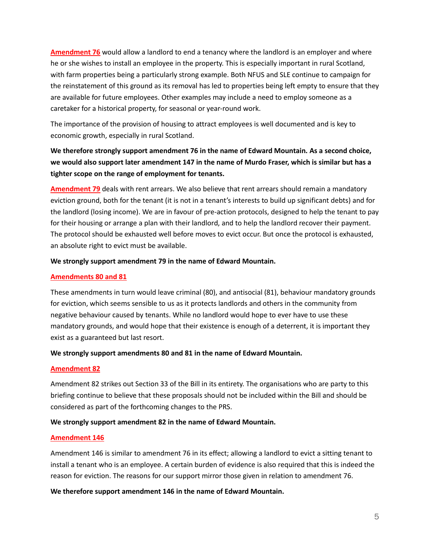**Amendment 76** would allow a landlord to end a tenancy where the landlord is an employer and where he or she wishes to install an employee in the property. This is especially important in rural Scotland, with farm properties being a particularly strong example. Both NFUS and SLE continue to campaign for the reinstatement of this ground as its removal has led to properties being left empty to ensure that they are available for future employees. Other examples may include a need to employ someone as a caretaker for a historical property, for seasonal or year-round work.

The importance of the provision of housing to attract employees is well documented and is key to economic growth, especially in rural Scotland.

### **We therefore strongly support amendment 76 in the name of Edward Mountain. As a second choice, we would also support later amendment 147 in the name of Murdo Fraser, which is similar but has a tighter scope on the range of employment for tenants.**

Amendment 79 deals with rent arrears. We also believe that rent arrears should remain a mandatory eviction ground, both for the tenant (it is not in a tenant's interests to build up significant debts) and for the landlord (losing income). We are in favour of pre-action protocols, designed to help the tenant to pay for their housing or arrange a plan with their landlord, and to help the landlord recover their payment. The protocol should be exhausted well before moves to evict occur. But once the protocol is exhausted, an absolute right to evict must be available.

### **We strongly support amendment 79 in the name of Edward Mountain.**

### **Amendments 80 and 81**

These amendments in turn would leave criminal (80), and antisocial (81), behaviour mandatory grounds for eviction, which seems sensible to us as it protects landlords and others in the community from negative behaviour caused by tenants. While no landlord would hope to ever have to use these mandatory grounds, and would hope that their existence is enough of a deterrent, it is important they exist as a guaranteed but last resort.

### **We strongly support amendments 80 and 81 in the name of Edward Mountain.**

### **Amendment 82**

Amendment 82 strikes out Section 33 of the Bill in its entirety. The organisations who are party to this briefing continue to believe that these proposals should not be included within the Bill and should be considered as part of the forthcoming changes to the PRS.

### **We strongly support amendment 82 in the name of Edward Mountain.**

### **Amendment 146**

Amendment 146 is similar to amendment 76 in its effect; allowing a landlord to evict a sitting tenant to install a tenant who is an employee. A certain burden of evidence is also required that this is indeed the reason for eviction. The reasons for our support mirror those given in relation to amendment 76.

### **We therefore support amendment 146 in the name of Edward Mountain.**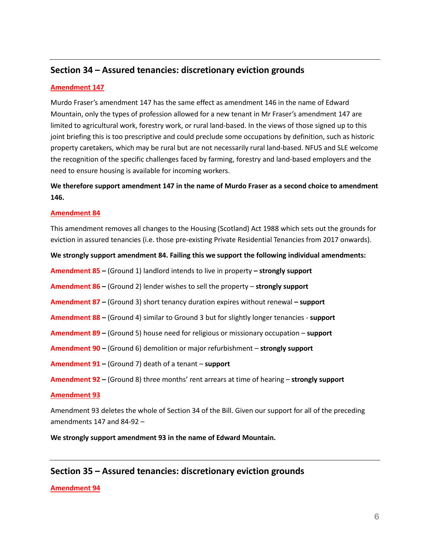### **Section 34 – Assured tenancies: discretionary eviction grounds**

### **Amendment 147**

Murdo Fraser's amendment 147 has the same effect as amendment 146 in the name of Edward Mountain, only the types of profession allowed for a new tenant in Mr Fraser's amendment 147 are limited to agricultural work, forestry work, or rural land-based. In the views of those signed up to this joint briefing this is too prescriptive and could preclude some occupations by definition, such as historic property caretakers, which may be rural but are not necessarily rural land-based. NFUS and SLE welcome the recognition of the specific challenges faced by farming, forestry and land-based employers and the need to ensure housing is available for incoming workers.

### **We therefore support amendment 147 in the name of Murdo Fraser as a second choice to amendment 146.**

### **Amendment 84**

This amendment removes all changes to the Housing (Scotland) Act 1988 which sets out the grounds for eviction in assured tenancies (i.e. those pre-existing Private Residential Tenancies from 2017 onwards).

### **We strongly support amendment 84. Failing this we support the following individual amendments:**

**Amendment 85 –** (Ground 1) landlord intends to live in property **– strongly support**

**Amendment 86 –** (Ground 2) lender wishes to sell the property – **strongly support**

**Amendment 87 –** (Ground 3) short tenancy duration expires without renewal **– support**

**Amendment 88 –** (Ground 4) similar to Ground 3 but for slightly longer tenancies - **support**

**Amendment 89 –** (Ground 5) house need for religious or missionary occupation – **support**

**Amendment 90 –** (Ground 6) demolition or major refurbishment – **strongly support**

**Amendment 91 –** (Ground 7) death of a tenant – **support**

**Amendment 92 –** (Ground 8) three months' rent arrears at time of hearing – **strongly support**

### **Amendment 93**

Amendment 93 deletes the whole of Section 34 of the Bill. Given our support for all of the preceding amendments 147 and 84-92 –

**We strongly support amendment 93 in the name of Edward Mountain.**

### **Section 35 – Assured tenancies: discretionary eviction grounds**

### **Amendment 94**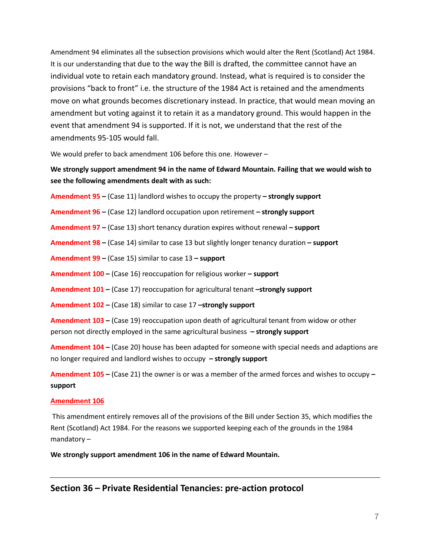Amendment 94 eliminates all the subsection provisions which would alter the Rent (Scotland) Act 1984. It is our understanding that due to the way the Bill is drafted, the committee cannot have an individual vote to retain each mandatory ground. Instead, what is required is to consider the provisions "back to front" i.e. the structure of the 1984 Act is retained and the amendments move on what grounds becomes discretionary instead. In practice, that would mean moving an amendment but voting against it to retain it as a mandatory ground. This would happen in the event that amendment 94 is supported. If it is not, we understand that the rest of the amendments 95-105 would fall.

We would prefer to back amendment 106 before this one. However –

**We strongly support amendment 94 in the name of Edward Mountain. Failing that we would wish to see the following amendments dealt with as such:**

**Amendment 95 –** (Case 11) landlord wishes to occupy the property **– strongly support**

**Amendment 96 –** (Case 12) landlord occupation upon retirement **– strongly support**

**Amendment 97 –** (Case 13) short tenancy duration expires without renewal **– support**

**Amendment 98 –** (Case 14) similar to case 13 but slightly longer tenancy duration **– support**

**Amendment 99 –** (Case 15) similar to case 13 **– support**

**Amendment 100 –** (Case 16) reoccupation for religious worker **– support**

**Amendment 101 –** (Case 17) reoccupation for agricultural tenant **–strongly support**

**Amendment 102 –** (Case 18) similar to case 17 **–strongly support**

**Amendment 103 –** (Case 19) reoccupation upon death of agricultural tenant from widow or other person not directly employed in the same agricultural business **– strongly support**

**Amendment 104 –** (Case 20) house has been adapted for someone with special needs and adaptions are no longer required and landlord wishes to occupy **– strongly support**

**Amendment 105 –** (Case 21) the owner is or was a member of the armed forces and wishes to occupy **– support**

### **Amendment 106**

This amendment entirely removes all of the provisions of the Bill under Section 35, which modifies the Rent (Scotland) Act 1984. For the reasons we supported keeping each of the grounds in the 1984 mandatory –

**We strongly support amendment 106 in the name of Edward Mountain.**

**Section 36 – Private Residential Tenancies: pre-action protocol**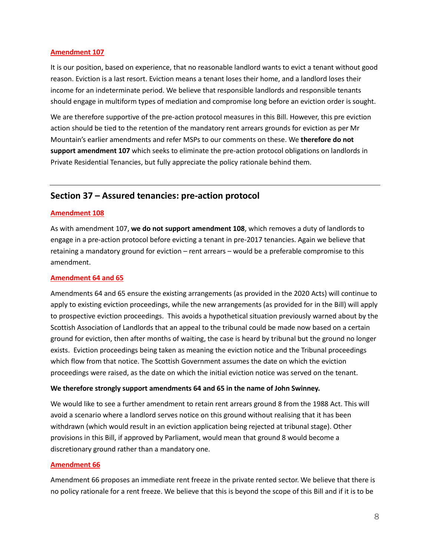### **Amendment 107**

It is our position, based on experience, that no reasonable landlord wants to evict a tenant without good reason. Eviction is a last resort. Eviction means a tenant loses their home, and a landlord loses their income for an indeterminate period. We believe that responsible landlords and responsible tenants should engage in multiform types of mediation and compromise long before an eviction order is sought.

We are therefore supportive of the pre-action protocol measures in this Bill. However, this pre eviction action should be tied to the retention of the mandatory rent arrears grounds for eviction as per Mr Mountain's earlier amendments and refer MSPs to our comments on these. We **therefore do not support amendment 107** which seeks to eliminate the pre-action protocol obligations on landlords in Private Residential Tenancies, but fully appreciate the policy rationale behind them.

### **Section 37 – Assured tenancies: pre-action protocol**

### **Amendment 108**

As with amendment 107, **we do not support amendment 108**, which removes a duty of landlords to engage in a pre-action protocol before evicting a tenant in pre-2017 tenancies. Again we believe that retaining a mandatory ground for eviction – rent arrears – would be a preferable compromise to this amendment.

#### **Amendment 64 and 65**

Amendments 64 and 65 ensure the existing arrangements (as provided in the 2020 Acts) will continue to apply to existing eviction proceedings, while the new arrangements (as provided for in the Bill) will apply to prospective eviction proceedings. This avoids a hypothetical situation previously warned about by the Scottish Association of Landlords that an appeal to the tribunal could be made now based on a certain ground for eviction, then after months of waiting, the case is heard by tribunal but the ground no longer exists. Eviction proceedings being taken as meaning the eviction notice and the Tribunal proceedings which flow from that notice. The Scottish Government assumes the date on which the eviction proceedings were raised, as the date on which the initial eviction notice was served on the tenant.

#### **We therefore strongly support amendments 64 and 65 in the name of John Swinney.**

We would like to see a further amendment to retain rent arrears ground 8 from the 1988 Act. This will avoid a scenario where a landlord serves notice on this ground without realising that it has been withdrawn (which would result in an eviction application being rejected at tribunal stage). Other provisions in this Bill, if approved by Parliament, would mean that ground 8 would become a discretionary ground rather than a mandatory one.

#### **Amendment 66**

Amendment 66 proposes an immediate rent freeze in the private rented sector. We believe that there is no policy rationale for a rent freeze. We believe that this is beyond the scope of this Bill and if it is to be